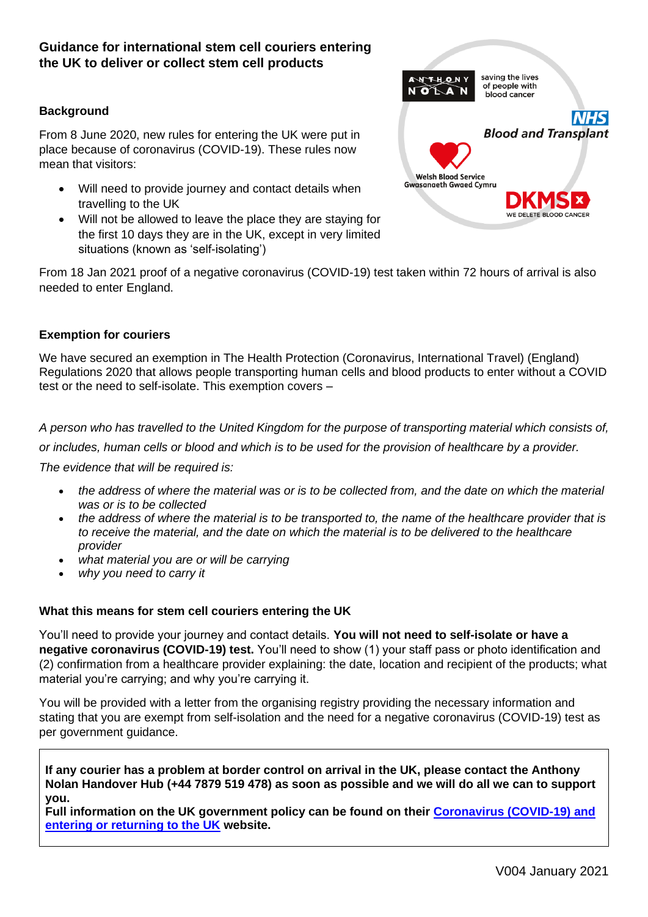# **Guidance for international stem cell couriers entering the UK to deliver or collect stem cell products**

### **Background**

From 8 June 2020, new rules for entering the UK were put in place because of coronavirus (COVID-19). These rules now mean that visitors:

- Will need to provide journey and contact details when travelling to the UK
- Will not be allowed to leave the place they are staying for the first 10 days they are in the UK, except in very limited situations (known as 'self-isolating')



From 18 Jan 2021 proof of a negative coronavirus (COVID-19) test taken within 72 hours of arrival is also needed to enter England.

#### **Exemption for couriers**

We have secured an exemption in The Health Protection (Coronavirus, International Travel) (England) Regulations 2020 that allows people transporting human cells and blood products to enter without a COVID test or the need to self-isolate. This exemption covers –

*A person who has travelled to the United Kingdom for the purpose of transporting material which consists of,* 

*or includes, human cells or blood and which is to be used for the provision of healthcare by a provider.*

*The evidence that will be required is:*

- *the address of where the material was or is to be collected from, and the date on which the material was or is to be collected*
- *the address of where the material is to be transported to, the name of the healthcare provider that is to receive the material, and the date on which the material is to be delivered to the healthcare provider*
- *what material you are or will be carrying*
- *why you need to carry it*

#### **What this means for stem cell couriers entering the UK**

You'll need to provide your journey and contact details. **You will not need to self-isolate or have a negative coronavirus (COVID-19) test.** You'll need to show (1) your staff pass or photo identification and (2) confirmation from a healthcare provider explaining: the date, location and recipient of the products; what material you're carrying; and why you're carrying it.

You will be provided with a letter from the organising registry providing the necessary information and stating that you are exempt from self-isolation and the need for a negative coronavirus (COVID-19) test as per government guidance.

**If any courier has a problem at border control on arrival in the UK, please contact the Anthony Nolan Handover Hub (+44 7879 519 478) as soon as possible and we will do all we can to support you.** 

**Full information on the UK government policy can be found on their [Coronavirus \(COVID-19\) and](https://www.gov.uk/uk-border-control)  [entering or returning to the UK](https://www.gov.uk/uk-border-control) website.**